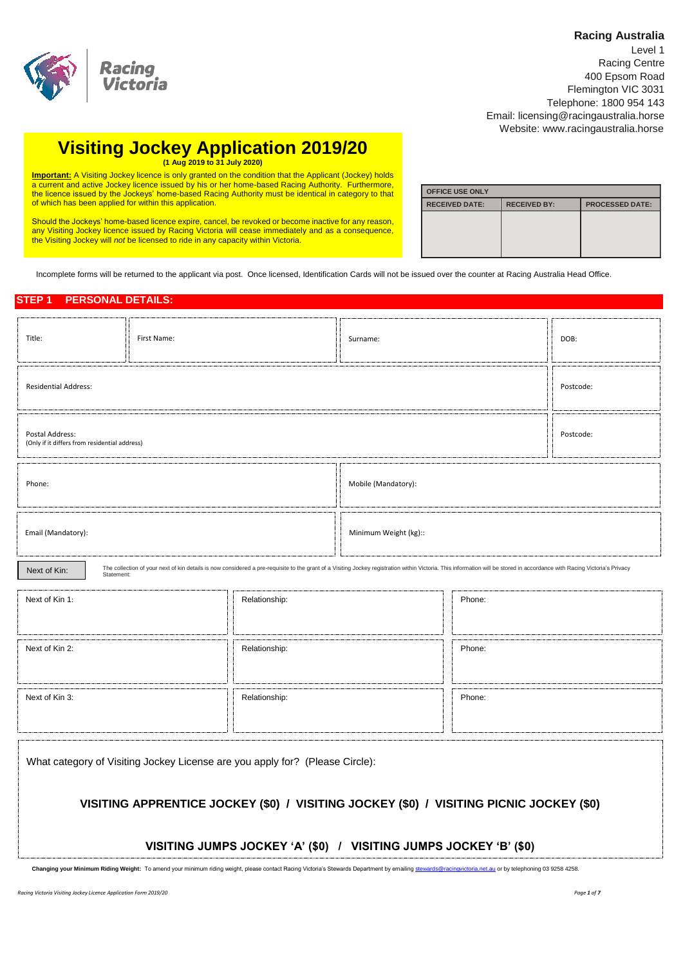### **Racing Australia**



| Level 1                                |
|----------------------------------------|
| Racing Centre                          |
| 400 Epsom Road                         |
| Flemington VIC 3031                    |
| Telephone: 1800 954 143                |
| Email: licensing@racingaustralia.horse |
| Website: www.racingaustralia.horse     |

# **Visiting Jockey Application 2019/20 (1 Aug 2019 to 31 July 2020)**

**Important:** A Visiting Jockey licence is only granted on the condition that the Applicant (Jockey) holds a current and active Jockey licence issued by his or her home-based Racing Authority. Furthermore, the licence issued by the Jockeys' home-based Racing Authority must be identical in category to that of which has been applied for within this application.

Should the Jockeys' home-based licence expire, cancel, be revoked or become inactive for any reason, any Visiting Jockey licence issued by Racing Victoria will cease immediately and as a consequence, the Visiting Jockey will *not* be licensed to ride in any capacity within Victoria.

| <b>OFFICE USE ONLY</b> |                     |                        |
|------------------------|---------------------|------------------------|
| <b>RECEIVED DATE:</b>  | <b>RECEIVED BY:</b> | <b>PROCESSED DATE:</b> |
|                        |                     |                        |
|                        |                     |                        |
|                        |                     |                        |
|                        |                     |                        |

Incomplete forms will be returned to the applicant via post. Once licensed, Identification Cards will not be issued over the counter at Racing Australia Head Office.

## **STEP 1 PERSONAL DETAILS:**

| Title:                                                                                                                                                                                                                                                  | First Name: |               |                       | Surname: |           |  |
|---------------------------------------------------------------------------------------------------------------------------------------------------------------------------------------------------------------------------------------------------------|-------------|---------------|-----------------------|----------|-----------|--|
| <b>Residential Address:</b>                                                                                                                                                                                                                             | Postcode:   |               |                       |          |           |  |
| Postal Address:<br>(Only if it differs from residential address)                                                                                                                                                                                        |             |               |                       |          | Postcode: |  |
| Phone:                                                                                                                                                                                                                                                  |             |               | Mobile (Mandatory):   |          |           |  |
| Email (Mandatory):                                                                                                                                                                                                                                      |             |               | Minimum Weight (kg):: |          |           |  |
| The collection of your next of kin details is now considered a pre-requisite to the grant of a Visiting Jockey registration within Victoria. This information will be stored in accordance with Racing Victoria's Privacy<br>Next of Kin:<br>Statement: |             |               |                       |          |           |  |
| Next of Kin 1:                                                                                                                                                                                                                                          |             | Relationship: |                       | Phone:   |           |  |
| Next of Kin 2:<br>Relationship:                                                                                                                                                                                                                         |             |               |                       | Phone:   |           |  |

Next of Kin 3: **Relationship:** Phone: **Phone:** Phone: **Phone: Phone: Phone: Phone: Phone: Phone: Phone: Phone: Phone: Phone: Phone: Phone: Phone: Phone: Phone: Phone: Phone: Phone: Phone: Phone: Phone: Phone: Phone: Phone:** 

What category of Visiting Jockey License are you apply for? (Please Circle):

# **VISITING APPRENTICE JOCKEY (\$0) / VISITING JOCKEY (\$0) / VISITING PICNIC JOCKEY (\$0)**

## **VISITING JUMPS JOCKEY 'A' (\$0) / VISITING JUMPS JOCKEY 'B' (\$0)**

**Changing your Minimum Riding Weight:** To amend your minimum riding weight, please contact Racing Victoria's Stewards Department by emailin[g stewards@racingvictoria.net.au](mailto:stewards@racingvictoria.net.au) or by telephoning 03 9258 4258.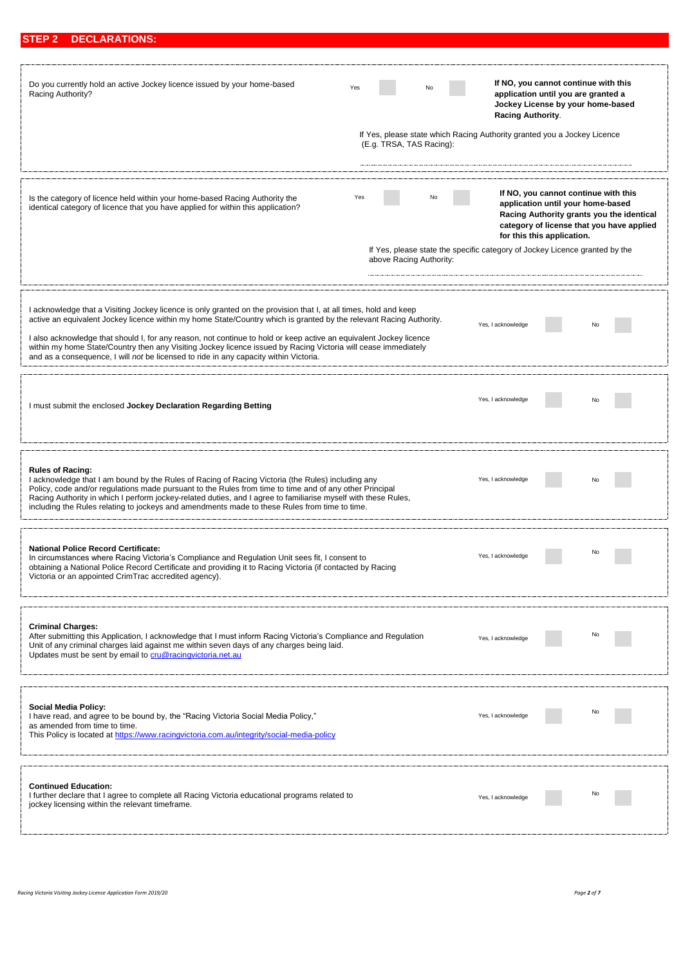| Do you currently hold an active Jockey licence issued by your home-based<br>Racing Authority?                                                                                                                                                                                                                                                                                                                                                                                                                                                                             | Yes<br>If Yes, please state which Racing Authority granted you a Jockey Licence<br>(E.g. TRSA, TAS Racing):         | <b>Racing Authority.</b> | If NO, you cannot continue with this<br>application until you are granted a<br>Jockey License by your home-based |                                                                                        |
|---------------------------------------------------------------------------------------------------------------------------------------------------------------------------------------------------------------------------------------------------------------------------------------------------------------------------------------------------------------------------------------------------------------------------------------------------------------------------------------------------------------------------------------------------------------------------|---------------------------------------------------------------------------------------------------------------------|--------------------------|------------------------------------------------------------------------------------------------------------------|----------------------------------------------------------------------------------------|
| Is the category of licence held within your home-based Racing Authority the<br>identical category of licence that you have applied for within this application?                                                                                                                                                                                                                                                                                                                                                                                                           | Yes<br>No<br>If Yes, please state the specific category of Jockey Licence granted by the<br>above Racing Authority: |                          | If NO, you cannot continue with this<br>application until your home-based<br>for this this application.          | Racing Authority grants you the identical<br>category of license that you have applied |
| I acknowledge that a Visiting Jockey licence is only granted on the provision that I, at all times, hold and keep<br>active an equivalent Jockey licence within my home State/Country which is granted by the relevant Racing Authority.<br>I also acknowledge that should I, for any reason, not continue to hold or keep active an equivalent Jockey licence<br>within my home State/Country then any Visiting Jockey licence issued by Racing Victoria will cease immediately<br>and as a consequence, I will not be licensed to ride in any capacity within Victoria. |                                                                                                                     | Yes, I acknowledge       |                                                                                                                  |                                                                                        |
| I must submit the enclosed Jockey Declaration Regarding Betting                                                                                                                                                                                                                                                                                                                                                                                                                                                                                                           |                                                                                                                     | Yes, I acknowledge       |                                                                                                                  |                                                                                        |
| <b>Rules of Racing:</b><br>I acknowledge that I am bound by the Rules of Racing of Racing Victoria (the Rules) including any<br>Policy, code and/or regulations made pursuant to the Rules from time to time and of any other Principal<br>Racing Authority in which I perform jockey-related duties, and I agree to familiarise myself with these Rules,<br>including the Rules relating to jockeys and amendments made to these Rules from time to time.                                                                                                                |                                                                                                                     | Yes, I acknowledge       |                                                                                                                  |                                                                                        |
| <b>National Police Record Certificate:</b><br>In circumstances where Racing Victoria's Compliance and Regulation Unit sees fit, I consent to<br>obtaining a National Police Record Certificate and providing it to Racing Victoria (if contacted by Racing<br>Victoria or an appointed CrimTrac accredited agency).                                                                                                                                                                                                                                                       |                                                                                                                     | Yes, I acknowledge       |                                                                                                                  |                                                                                        |
| <b>Criminal Charges:</b><br>After submitting this Application, I acknowledge that I must inform Racing Victoria's Compliance and Regulation<br>Unit of any criminal charges laid against me within seven days of any charges being laid.<br>Updates must be sent by email to cru@racingvictoria.net.au                                                                                                                                                                                                                                                                    |                                                                                                                     | Yes, I acknowledge       |                                                                                                                  | No                                                                                     |
| Social Media Policy:<br>I have read, and agree to be bound by, the "Racing Victoria Social Media Policy,"<br>as amended from time to time.<br>This Policy is located at https://www.racingvictoria.com.au/integrity/social-media-policy                                                                                                                                                                                                                                                                                                                                   |                                                                                                                     | Yes, I acknowledge       |                                                                                                                  | No                                                                                     |
| <b>Continued Education:</b><br>I further declare that I agree to complete all Racing Victoria educational programs related to<br>jockey licensing within the relevant timeframe.                                                                                                                                                                                                                                                                                                                                                                                          |                                                                                                                     | Yes, I acknowledge       |                                                                                                                  | <b>No</b>                                                                              |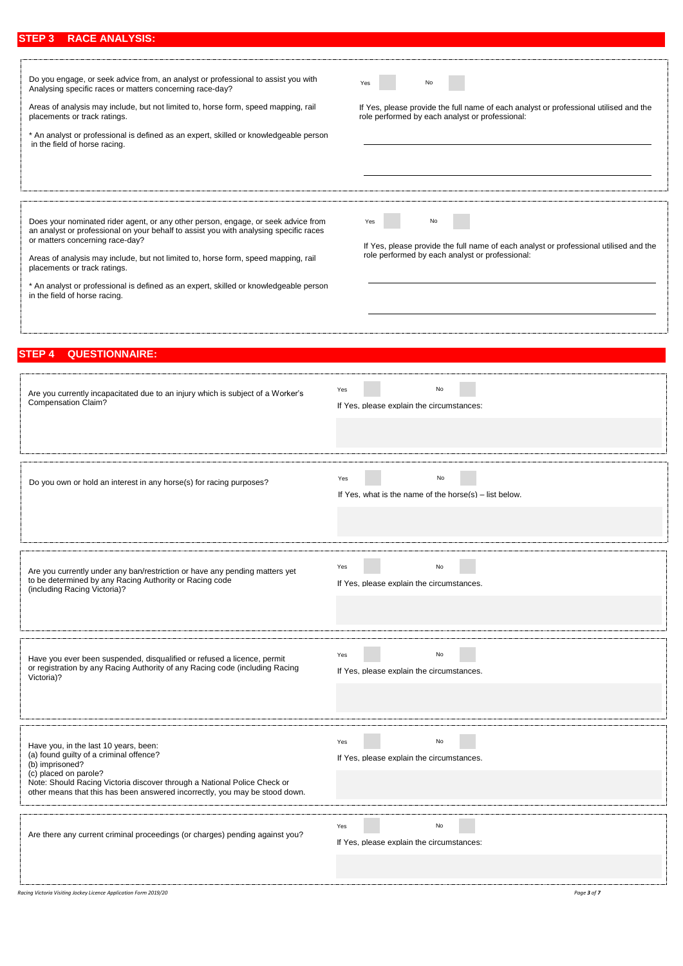# **STEP 3 RACE ANALYSIS:**

| Do you engage, or seek advice from, an analyst or professional to assist you with<br>Analysing specific races or matters concerning race-day?<br>Areas of analysis may include, but not limited to, horse form, speed mapping, rail<br>placements or track ratings.<br>* An analyst or professional is defined as an expert, skilled or knowledgeable person<br>in the field of horse racing.                                                                 | No<br>Yes<br>If Yes, please provide the full name of each analyst or professional utilised and the<br>role performed by each analyst or professional: |
|---------------------------------------------------------------------------------------------------------------------------------------------------------------------------------------------------------------------------------------------------------------------------------------------------------------------------------------------------------------------------------------------------------------------------------------------------------------|-------------------------------------------------------------------------------------------------------------------------------------------------------|
| Does your nominated rider agent, or any other person, engage, or seek advice from<br>an analyst or professional on your behalf to assist you with analysing specific races<br>or matters concerning race-day?<br>Areas of analysis may include, but not limited to, horse form, speed mapping, rail<br>placements or track ratings.<br>* An analyst or professional is defined as an expert, skilled or knowledgeable person<br>in the field of horse racing. | No<br>Yes<br>If Yes, please provide the full name of each analyst or professional utilised and the<br>role performed by each analyst or professional: |
| <b>QUESTIONNAIRE:</b><br><b>STEP 4</b>                                                                                                                                                                                                                                                                                                                                                                                                                        |                                                                                                                                                       |
| Are you currently incapacitated due to an injury which is subject of a Worker's<br>Compensation Claim?                                                                                                                                                                                                                                                                                                                                                        | Yes<br>No<br>If Yes, please explain the circumstances:                                                                                                |
| Do you own or hold an interest in any horse(s) for racing purposes?                                                                                                                                                                                                                                                                                                                                                                                           | No<br>Yes<br>If Yes, what is the name of the horse(s) – list below.                                                                                   |
| Are you currently under any ban/restriction or have any pending matters yet<br>to be determined by any Racing Authority or Racing code<br>(including Racing Victoria)?                                                                                                                                                                                                                                                                                        | No<br>Yes<br>If Yes, please explain the circumstances.                                                                                                |
| Have you ever been suspended, disqualified or refused a licence, permit<br>or registration by any Racing Authority of any Racing code (including Racing<br>Victoria)?                                                                                                                                                                                                                                                                                         | Yes<br>No<br>If Yes, please explain the circumstances.                                                                                                |
| Have you, in the last 10 years, been:<br>(a) found guilty of a criminal offence?<br>(b) imprisoned?<br>(c) placed on parole?<br>Note: Should Racing Victoria discover through a National Police Check or<br>other means that this has been answered incorrectly, you may be stood down.                                                                                                                                                                       | Yes<br>No<br>If Yes, please explain the circumstances.                                                                                                |
| Are there any current criminal proceedings (or charges) pending against you?                                                                                                                                                                                                                                                                                                                                                                                  | Yes<br>No<br>If Yes. please explain the circumstances:                                                                                                |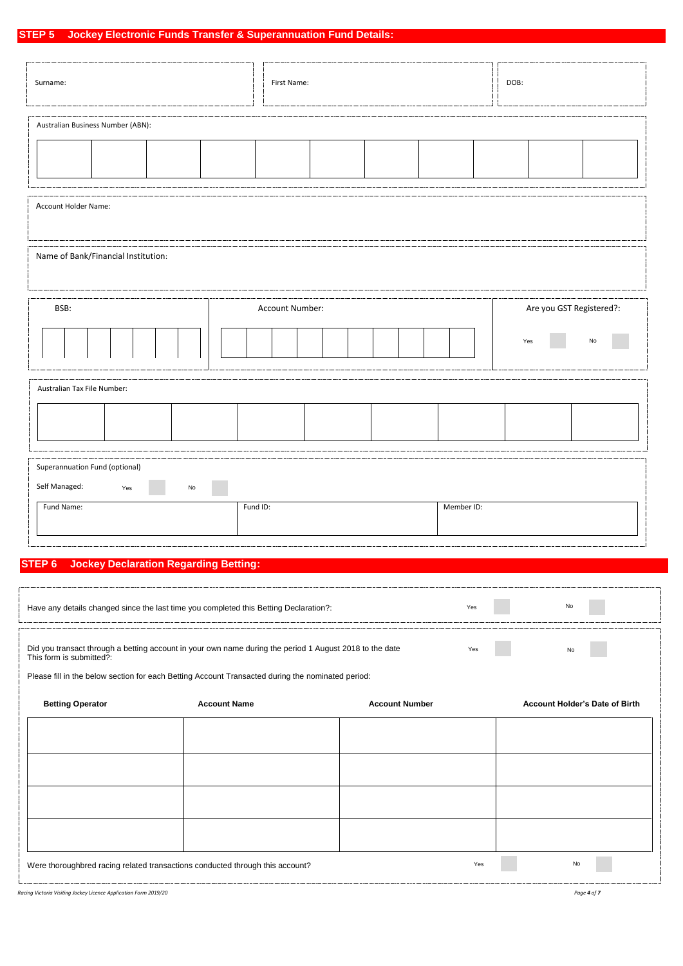# **STEP 5 Jockey Electronic Funds Transfer & Superannuation Fund Details:**

| Surname:                                               |    | First Name:     |  | DOB: |     |                          |
|--------------------------------------------------------|----|-----------------|--|------|-----|--------------------------|
| Australian Business Number (ABN):                      |    |                 |  |      |     |                          |
|                                                        |    |                 |  |      |     |                          |
| Account Holder Name:                                   |    |                 |  |      |     |                          |
| Name of Bank/Financial Institution:                    |    |                 |  |      |     |                          |
|                                                        |    |                 |  |      |     |                          |
| BSB:                                                   |    | Account Number: |  |      |     | Are you GST Registered?: |
|                                                        |    |                 |  |      | Yes | No                       |
| Australian Tax File Number:                            |    |                 |  |      |     |                          |
|                                                        |    |                 |  |      |     |                          |
| Superannuation Fund (optional)<br>Self Managed:<br>Yes | No |                 |  |      |     |                          |

# **STEP 6 Jockey Declaration Regarding Betting:**

f

| Have any details changed since the last time you completed this Betting Declaration?:                                                                                                                                                    | Yes                 | No                    |     |                                       |
|------------------------------------------------------------------------------------------------------------------------------------------------------------------------------------------------------------------------------------------|---------------------|-----------------------|-----|---------------------------------------|
| Did you transact through a betting account in your own name during the period 1 August 2018 to the date<br>This form is submitted?:<br>Please fill in the below section for each Betting Account Transacted during the nominated period: |                     |                       | Yes | No                                    |
| <b>Betting Operator</b>                                                                                                                                                                                                                  | <b>Account Name</b> | <b>Account Number</b> |     | <b>Account Holder's Date of Birth</b> |
|                                                                                                                                                                                                                                          |                     |                       |     |                                       |
|                                                                                                                                                                                                                                          |                     |                       |     |                                       |
|                                                                                                                                                                                                                                          |                     |                       |     |                                       |
|                                                                                                                                                                                                                                          |                     |                       |     |                                       |
|                                                                                                                                                                                                                                          |                     |                       |     |                                       |
| Were thoroughbred racing related transactions conducted through this account?                                                                                                                                                            |                     |                       | Yes | No                                    |

*Racing Victoria Visiting Jockey Licence Application Form 2019/20 Page 4 of 7*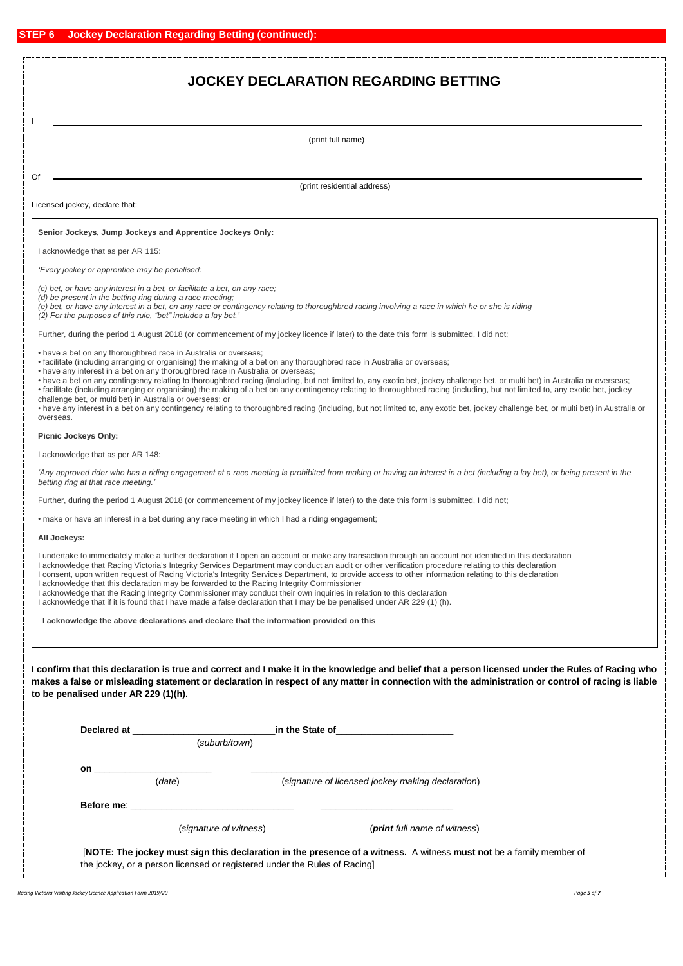# **JOCKEY DECLARATION REGARDING BETTING**

#### (print full name)

Of

(print residential address)

Licensed jockey, declare that:

### **Senior Jockeys, Jump Jockeys and Apprentice Jockeys Only:**

I acknowledge that as per AR 115:

*'Every jockey or apprentice may be penalised:*

*(c) bet, or have any interest in a bet, or facilitate a bet, on any race;*

*(d) be present in the betting ring during a race meeting;*

*(e) bet, or have any interest in a bet, on any race or contingency relating to thoroughbred racing involving a race in which he or she is riding*

*(2) For the purposes of this rule, "bet" includes a lay bet.'*

Further, during the period 1 August 2018 (or commencement of my jockey licence if later) to the date this form is submitted, I did not;

• have a bet on any thoroughbred race in Australia or overseas;

• facilitate (including arranging or organising) the making of a bet on any thoroughbred race in Australia or overseas;

• have any interest in a bet on any thoroughbred race in Australia or overseas;

• have a bet on any contingency relating to thoroughbred racing (including, but not limited to, any exotic bet, jockey challenge bet, or multi bet) in Australia or overseas;

• facilitate (including arranging or organising) the making of a bet on any contingency relating to thoroughbred racing (including, but not limited to, any exotic bet, jockey challenge bet, or multi bet) in Australia or overseas; or

• have any interest in a bet on any contingency relating to thoroughbred racing (including, but not limited to, any exotic bet, jockey challenge bet, or multi bet) in Australia or overseas.

**Picnic Jockeys Only:**

I acknowledge that as per AR 148:

'Any approved rider who has a riding engagement at a race meeting is prohibited from making or having an interest in a bet (including a lay bet), or being present in the *betting ring at that race meeting.'*

Further, during the period 1 August 2018 (or commencement of my jockey licence if later) to the date this form is submitted. I did not:

• make or have an interest in a bet during any race meeting in which I had a riding engagement;

**All Jockeys:**

I undertake to immediately make a further declaration if I open an account or make any transaction through an account not identified in this declaration

- I acknowledge that Racing Victoria's Integrity Services Department may conduct an audit or other verification procedure relating to this declaration
- I consent, upon written request of Racing Victoria's Integrity Services Department, to provide access to other information relating to this declaration
- I acknowledge that this declaration may be forwarded to the Racing Integrity Commissioner
- I acknowledge that the Racing Integrity Commissioner may conduct their own inquiries in relation to this declaration I acknowledge that if it is found that I have made a false declaration that I may be be penalised under AR 229 (1) (h).

 **I acknowledge the above declarations and declare that the information provided on this**

**I confirm that this declaration is true and correct and I make it in the knowledge and belief that a person licensed under the Rules of Racing who makes a false or misleading statement or declaration in respect of any matter in connection with the administration or control of racing is liable to be penalised under AR 229 (1)(h).**

|    | Declared at the contract of the contract of the contract of the contract of the contract of the contract of the contract of the contract of the contract of the contract of the contract of the contract of the contract of th<br>(suburb/town) |                                                                          | in the State of <u>the state of</u> the state of                                                                    |  |
|----|-------------------------------------------------------------------------------------------------------------------------------------------------------------------------------------------------------------------------------------------------|--------------------------------------------------------------------------|---------------------------------------------------------------------------------------------------------------------|--|
| on | (date)                                                                                                                                                                                                                                          |                                                                          | (signature of licensed jockey making declaration)                                                                   |  |
|    | <b>Before me: Before me: Before me: Before</b> me: <b>Before</b> me: <b>BEFORE</b>                                                                                                                                                              |                                                                          |                                                                                                                     |  |
|    | (signature of witness)                                                                                                                                                                                                                          |                                                                          | ( <b>print</b> full name of witness)                                                                                |  |
|    |                                                                                                                                                                                                                                                 | the jockey, or a person licensed or registered under the Rules of Racing | [NOTE: The jockey must sign this declaration in the presence of a witness. A witness must not be a family member of |  |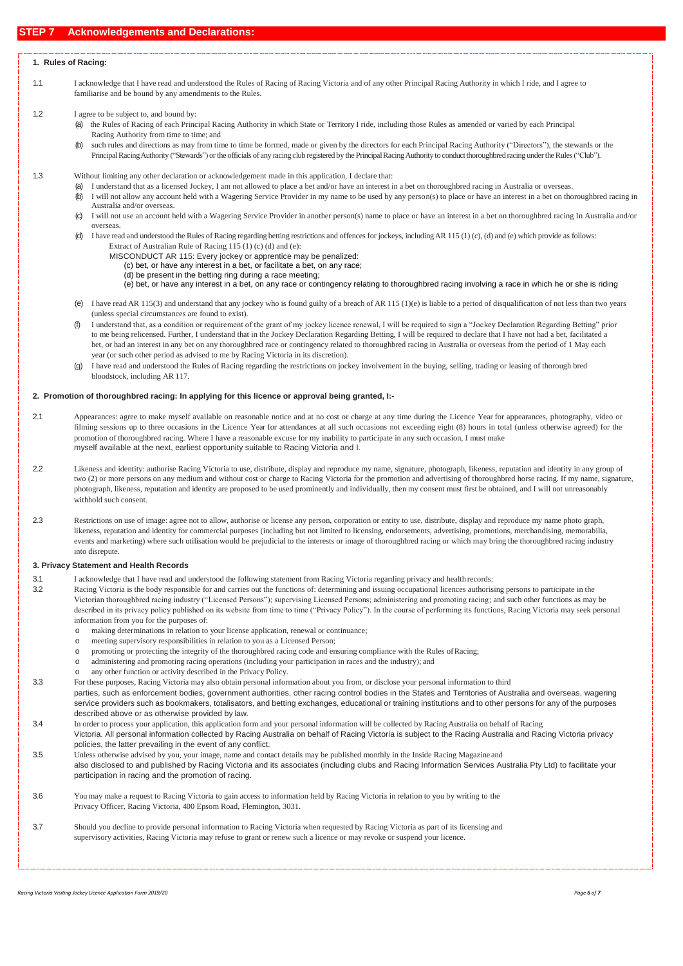### **STEP 7 Acknowledgements and Declarations:**

### **1. Rules of Racing:**

- 1.1 I acknowledge that I have read and understood the Rules of Racing of Racing Victoria and of any other Principal Racing Authority in which I ride, and I agree to familiarise and be bound by any amendments to the Rules.
- 1.2 I agree to be subject to, and bound by:
	- (a) the Rules of Racing of each Principal Racing Authority in which State or Territory I ride, including those Rules as amended or varied by each Principal Racing Authority from time to time; and

(b) such rules and directions as may from time to time be formed, made or given by the directors for each Principal Racing Authority ("Directors"), the stewards or the Principal Racing Authority ("Stewards") or the officials of any racing club registered by the Principal Racing Authority to conduct thoroughbred racing under the Rules ("Club").

- 1.3 Without limiting any other declaration or acknowledgement made in this application, I declare that:
	- I understand that as a licensed Jockey, I am not allowed to place a bet and/or have an interest in a bet on thoroughbred racing in Australia or overseas.
	- (b) I will not allow any account held with a Wagering Service Provider in my name to be used by any person(s) to place or have an interest in a bet on thoroughbred racing in Australia and/or overseas.
	- (c) I will not use an account held with a Wagering Service Provider in another person(s) name to place or have an interest in a bet on thoroughbred racing In Australia and/or overseas.
	- (d) I have read and understood the Rules of Racing regarding betting restrictions and offences for jockeys, includingAR 115 (1) (c), (d) and (e) which provide as follows: Extract of Australian Rule of Racing 115 (1) (c) (d) and (e):
		-
		- MISCONDUCT AR 115: Every jockey or apprentice may be penalized: (c) bet, or have any interest in a bet, or facilitate a bet, on any race;
			- (d) be present in the betting ring during a race meeting;
			- (e) bet, or have any interest in a bet, on any race or contingency relating to thoroughbred racing involving a race in which he or she is riding
	- (e) I have read AR 115(3) and understand that any jockey who is found guilty of a breach of AR 115 (1)(e) is liable to a period of disqualification of not less than two years (unless special circumstances are found to exist).
	- (f) I understand that, as a condition or requirement of the grant of my jockey licence renewal, I will be required to sign a "Jockey Declaration Regarding Betting" prior to me being relicensed. Further, I understand that in the Jockey Declaration Regarding Betting, I will be required to declare that I have not had a bet, facilitated a bet, or had an interest in any bet on any thoroughbred race or contingency related to thoroughbred racing in Australia or overseas from the period of 1 May each year (or such other period as advised to me by Racing Victoria in its discretion).
	- (g) I have read and understood the Rules of Racing regarding the restrictions on jockey involvement in the buying, selling, trading or leasing of thorough bred bloodstock, including AR 117.

#### **2. Promotion of thoroughbred racing: In applying for this licence or approval being granted, I:-**

- 2.1 Appearances: agree to make myself available on reasonable notice and at no cost or charge at any time during the Licence Year for appearances, photography, video or filming sessions up to three occasions in the Licence Year for attendances at all such occasions not exceeding eight (8) hours in total (unless otherwise agreed) for the promotion of thoroughbred racing. Where I have a reasonable excuse for my inability to participate in any such occasion, I must make myself available at the next, earliest opportunity suitable to Racing Victoria and I.
- 2.2 Likeness and identity: authorise Racing Victoria to use, distribute, display and reproduce my name, signature, photograph, likeness, reputation and identity in any group of two (2) or more persons on any medium and without cost or charge to Racing Victoria for the promotion and advertising of thoroughbred horse racing. If my name, signature, photograph, likeness, reputation and identity are proposed to be used prominently and individually, then my consent must first be obtained, and I will not unreasonably withhold such consent.
- 2.3 Restrictions on use of image: agree not to allow, authorise or license any person, corporation or entity to use, distribute, display and reproduce my name photo graph, likeness, reputation and identity for commercial purposes (including but not limited to licensing, endorsements, advertising, promotions, merchandising, memorabilia, events and marketing) where such utilisation would be prejudicial to the interests or image of thoroughbred racing or which may bring the thoroughbred racing industry into disrepute.

#### **3. Privacy Statement and Health Records**

- 3.1 I acknowledge that I have read and understood the following statement from Racing Victoria regarding privacy and health records:
- 3.2 Racing Victoria is the body responsible for and carries out the functions of: determining and issuing occupational licences authorising persons to participate in the Victorian thoroughbred racing industry ("Licensed Persons"); supervising Licensed Persons; administering and promoting racing; and such other functions as may be described in its privacy policy published on its website from time to time ("Privacy Policy"). In the course of performing its functions, Racing Victoria may seek personal information from you for the purposes of:
	- making determinations in relation to your license application, renewal or continuance;
	- o meeting supervisory responsibilities in relation to you as a Licensed Person;
	- o promoting or protecting the integrity of the thoroughbred racing code and ensuring compliance with the Rules ofRacing;
	- o administering and promoting racing operations (including your participation in races and the industry); and
	- any other function or activity described in the Privacy Policy.
- 3.3 For these purposes, Racing Victoria may also obtain personal information about you from, or disclose your personal information to third

parties, such as enforcement bodies, government authorities, other racing control bodies in the States and Territories of Australia and overseas, wagering service providers such as bookmakers, totalisators, and betting exchanges, educational or training institutions and to other persons for any of the purposes described above or as otherwise provided by law.

- 3.4 In order to process your application, this application form and your personal information will be collected by Racing Australia on behalf of Racing Victoria. All personal information collected by Racing Australia on behalf of Racing Victoria is subject to the Racing Australia and Racing Victoria privacy policies, the latter prevailing in the event of any conflict.
- 3.5 Unless otherwise advised by you, your image, name and contact details may be published monthly in the Inside Racing Magazine and also disclosed to and published by Racing Victoria and its associates (including clubs and Racing Information Services Australia Pty Ltd) to facilitate your participation in racing and the promotion of racing.
- 3.6 You may make a request to Racing Victoria to gain access to information held by Racing Victoria in relation to you by writing to the Privacy Officer, Racing Victoria, 400 Epsom Road, Flemington, 3031.
- 3.7 Should you decline to provide personal information to Racing Victoria when requested by Racing Victoria as part of its licensing and supervisory activities, Racing Victoria may refuse to grant or renew such a licence or may revoke or suspend your licence.